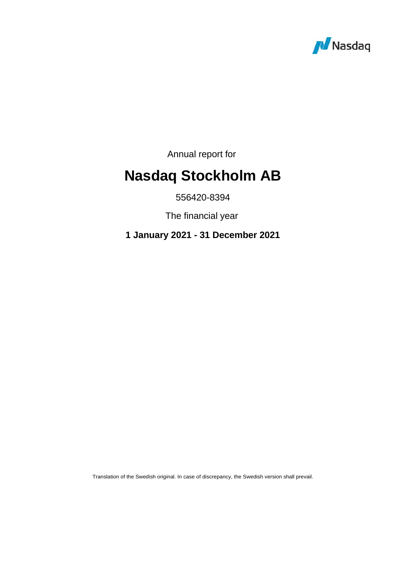

Annual report for

# **Nasdaq Stockholm AB**

556420-8394

The financial year

**1 January 2021 - 31 December 2021**

Translation of the Swedish original. In case of discrepancy, the Swedish version shall prevail.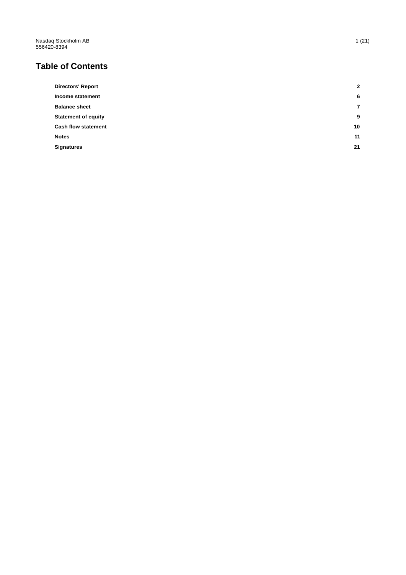Nasdaq Stockholm AB 556420 -8394

# **Table of Contents**

| <b>Directors' Report</b>   | $\mathbf{2}$ |
|----------------------------|--------------|
| Income statement           | 6            |
| <b>Balance sheet</b>       | 7            |
| <b>Statement of equity</b> | 9            |
| <b>Cash flow statement</b> | 10           |
| <b>Notes</b>               | 11           |
| <b>Signatures</b>          | 21           |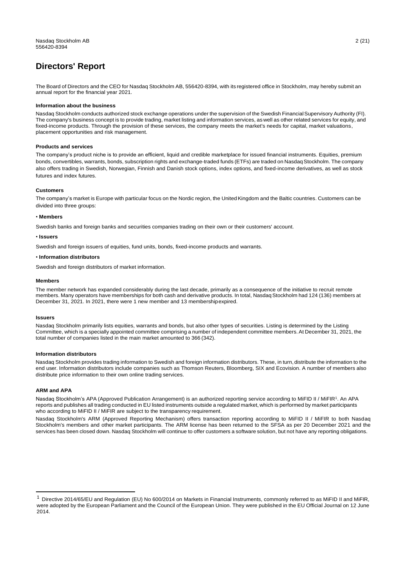### <span id="page-2-0"></span>**Directors' Report**

The Board of Directors and the CEO for Nasdaq Stockholm AB, 556420-8394, with its registered office in Stockholm, may hereby submit an annual report for the financial year 2021.

#### **Information about the business**

Nasdaq Stockholm conducts authorized stock exchange operations under the supervision of the Swedish FinancialSupervisory Authority (FI). The company's business concept is to provide trading, market listing and information services, aswell as other related services for equity, and fixed-income products. Through the provision of these services, the company meets the market's needs for capital, market valuations, placement opportunities and risk management.

#### **Products and services**

The company's product niche is to provide an efficient, liquid and credible marketplace for issued financial instruments. Equities, premium bonds, convertibles, warrants, bonds, subscription rights and exchange-traded funds (ETFs) are traded on Nasdag Stockholm. The company also offers trading in Swedish, Norwegian, Finnish and Danish stock options, index options, and fixed-income derivatives, as well as stock futures and index futures.

#### **Customers**

The company's market is Europe with particular focus on the Nordic region, the United Kingdom and the Baltic countries. Customers can be divided into three groups:

#### • **Members**

Swedish banks and foreign banks and securities companies trading on their own or their customers' account.

#### • **Issuers**

Swedish and foreign issuers of equities, fund units, bonds, fixed-income products and warrants.

#### • **Information distributors**

Swedish and foreign distributors of market information.

#### **Members**

The member network has expanded considerably during the last decade, primarily as a consequence of the initiative to recruit remote members. Many operators have memberships for both cash and derivative products. In total, NasdaqStockholm had 124 (136) members at December 31, 2021. In 2021, there were 1 new member and 13 membershipexpired.

#### **Issuers**

Nasdaq Stockholm primarily lists equities, warrants and bonds, but also other types of securities. Listing is determined by the Listing Committee, which is a specially appointed committee comprising a number of independent committee members.At December 31, 2021, the total number of companies listed in the main market amounted to 366 (342).

#### **Information distributors**

Nasdaq Stockholm provides trading information to Swedish and foreign information distributors. These, in turn,distribute the information to the end user. Information distributors include companies such as Thomson Reuters, Bloomberg, SIX and Ecovision. A number of members also distribute price information to their own online trading services.

#### **ARM and APA**

Nasdaq Stockholm's APA (Approved Publication Arrangement) is an authorized reporting service according to MiFID II / MiFIR<sup>1</sup>. An APA reports and publishes all trading conducted in EU listed instruments outside a regulated market, which is performed by market participants who according to MiFID II / MiFIR are subject to the transparency requirement.

Nasdaq Stockholm's ARM (Approved Reporting Mechanism) offers transaction reporting according to MiFID II / MiFIR to both Nasdaq Stockholm's members and other market participants. The ARM license has been returned to the SFSA as per 20 December 2021 and the services has been closed down. Nasdaq Stockholm will continue to offer customers a software solution, but not have any reporting obligations.

<sup>&</sup>lt;sup>1</sup> Directive 2014/65/EU and Regulation (EU) No 600/2014 on Markets in Financial Instruments, commonly referred to as MiFID II and MiFIR, were adopted by the European Parliament and the Council of the European Union. They were published in the EU Official Journal on 12 June 2014.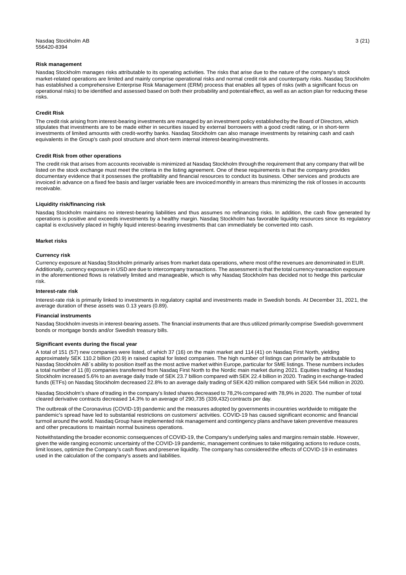#### **Risk management**

Nasdaq Stockholm manages risks attributable to its operating activities. The risks that arise due to the nature of the company's stock market-related operations are limited and mainly comprise operational risks and normal credit risk and counterparty risks. Nasdaq Stockholm has established a comprehensive Enterprise Risk Management (ERM) process that enables all types of risks (with a significant focus on operational risks) to be identified and assessed based on both their probability and potential effect, as well as an action plan for reducing these risks.

#### **Credit Risk**

The credit risk arising from interest-bearing investments are managed by an investment policy established by the Board of Directors, which stipulates that investments are to be made either in securities issued by external borrowers with a good credit rating, or in short-term investments of limited amounts with credit-worthy banks. Nasdaq Stockholm can also manage investments by retaining cash and cash equivalents in the Group's cash pool structure and short-term internal interest-bearinginvestments.

#### **Credit Risk from other operations**

The credit risk that arises from accounts receivable is minimized at Nasdaq Stockholm through the requirement that any company that will be listed on the stock exchange must meet the criteria in the listing agreement. One of these requirements is that the company provides documentary evidence that it possesses the profitability and financial resources to conduct its business. Other services and products are invoiced in advance on a fixed fee basis and larger variable fees are invoiced monthly in arrears thus minimizing the risk of losses in accounts receivable.

#### **Liquidity risk/financing risk**

Nasdaq Stockholm maintains no interest-bearing liabilities and thus assumes no refinancing risks. In addition, the cash flow generated by operations is positive and exceeds investments by a healthy margin. Nasdaq Stockholm has favorable liquidity resources since its regulatory capital is exclusively placed in highly liquid interest-bearing investments that can immediately be converted into cash.

#### **Market risks**

#### **Currency risk**

Currency exposure at Nasdaq Stockholm primarily arises from market data operations, where most of the revenues are denominated in EUR. Additionally, currency exposure in USD are due to intercompany transactions. The assessment is that the total currency-transaction exposure in the aforementioned flows is relatively limited and manageable, which is why Nasdaq Stockholm has decided not to hedge this particular risk.

#### **Interest-rate risk**

Interest-rate risk is primarily linked to investments in regulatory capital and investments made in Swedish bonds. At December 31, 2021, the average duration of these assets was 0.13 years (0.89).

#### **Financial instruments**

Nasdaq Stockholm invests in interest-bearing assets. The financial instruments that are thus utilized primarily comprise Swedish government bonds or mortgage bonds and/or Swedish treasury bills.

#### **Significant events during the fiscal year**

A total of 151 (57) new companies were listed, of which 37 (16) on the main market and 114 (41) on Nasdaq First North, yielding approximately SEK 110.2 billion (20.9) in raised capital for listed companies. The high number of listings can primarily be attributable to Nasdaq Stockholm AB´s ability to position itself as the most active market within Europe, particular for SME listings. These numbers includes a total number of 11 (8) companies transferred from Nasdaq First North to the Nordic main market during 2021. Equities trading at Nasdaq Stockholm increased 5.6% to an average daily trade of SEK 23.7 billion compared withSEK 22.4 billion in 2020. Trading in exchange-traded funds (ETFs) on Nasdaq Stockholm decreased 22.8% to an average daily trading of SEK420 million compared with SEK 544 million in 2020.

Nasdaq Stockholm's share of trading in the company's listed shares decreased to 78,2% compared with 78,9% in 2020. The number of total cleared derivative contracts decreased 14.3% to an average of 290,735 (339,432) contracts per day.

The outbreak of the Coronavirus (COVID-19) pandemic and the measures adopted by governments in countries worldwide to mitigate the pandemic's spread have led to substantial restrictions on customers' activities. COVID-19 has caused significant economic and financial turmoil around the world. Nasdaq Group have implemented risk management and contingency plans andhave taken preventive measures and other precautions to maintain normal business operations.

Notwithstanding the broader economic consequences of COVID-19, the Company's underlying sales and margins remain stable. However, given the wide ranging economic uncertainty of the COVID-19 pandemic, management continues to take mitigating actions to reduce costs, limit losses, optimize the Company's cash flows and preserve liquidity. The company has considered the effects of COVID-19 in estimates used in the calculation of the company's assets and liabilities.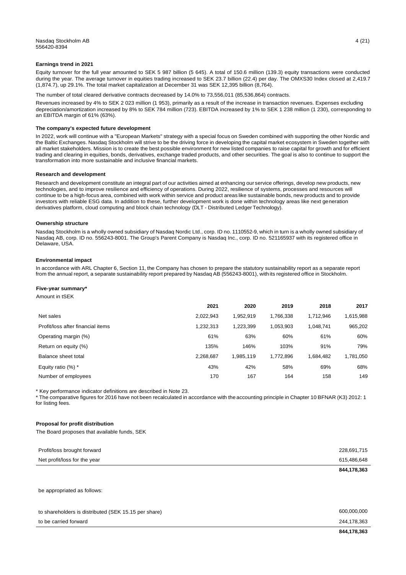#### **Earnings trend in 2021**

Equity turnover for the full year amounted to SEK 5 987 billion (5 645). A total of 150.6 million (139.3) equity transactions were conducted during the year. The average turnover in equities trading increased to SEK 23.7 billion (22.4) per day. The OMXS30 Index closed at 2,419.7 (1,874.7), up 29.1%. The total market capitalization at December 31 was SEK 12,395 billion (8,764).

The number of total cleared derivative contracts decreased by 14.0% to 73,556,011 (85,536,864) contracts.

Revenues increased by 4% to SEK 2 023 million (1 953), primarily as a result of the increase in transaction revenues. Expenses excluding depreciation/amortization increased by 8% to SEK 784 million (723). EBITDA increased by 1% to SEK 1 238 million (1 230), corresponding to an EBITDA margin of 61% (63%).

#### **The company's expected future development**

In 2022, work will continue with a "European Markets" strategy with a special focus on Sweden combined with supporting the other Nordic and the Baltic Exchanges. Nasdaq Stockholm will strive to be the driving force in developing the capital market ecosystem in Sweden together with all market stakeholders. Mission is to create the best possible environment for new listed companies to raise capital for growth and for efficient trading and clearing in equities, bonds, derivatives, exchange traded products, and other securities. The goal is also to continue to support the transformation into more sustainable and inclusive financial markets.

#### **Research and development**

Research and development constitute an integral part of our activities aimed at enhancing our service offerings, develop new products, new technologies, and to improve resilience and efficiency of operations. During 2022, resilience of systems, processes and resources will continue to be a high-focus area, combined with work within service and product areas like sustainable bonds, new products and to provide investors with reliable ESG data. In addition to these, further development work is done within technology areas like next generation derivatives platform, cloud computing and block chain technology (DLT - Distributed Ledger Technology).

#### **Ownership structure**

Nasdaq Stockholm is a wholly owned subsidiary of Nasdaq Nordic Ltd., corp. ID no. 1110552-9, which in turn is a wholly owned subsidiary of Nasdaq AB, corp. ID no. 556243-8001. The Group's Parent Company is Nasdaq Inc., corp. ID no. 521165937 with its registered office in Delaware, USA.

#### **Environmental impact**

In accordance with ARL Chapter 6, Section 11, the Company has chosen to prepare the statutory sustainability report as a separate report from the annual report, a separate sustainability report prepared by Nasdaq AB (556243-8001), with its registered office in Stockholm.

#### **Five-year summary\***

Amount in tSEK

|                                   | 2021      | 2020      | 2019      | 2018      | 2017      |
|-----------------------------------|-----------|-----------|-----------|-----------|-----------|
| Net sales                         | 2,022,943 | 952,919.  | 1.766.338 | 1,712,946 | 1,615,988 |
| Profit/loss after financial items | 1,232,313 | 1,223,399 | 1.053.903 | 1.048.741 | 965,202   |
| Operating margin (%)              | 61%       | 63%       | 60%       | 61%       | 60%       |
| Return on equity (%)              | 135%      | 146%      | 103%      | 91%       | 79%       |
| Balance sheet total               | 2,268,687 | 1,985,119 | 1.772.896 | 1,684,482 | 1,781,050 |
| Equity ratio $(%)$ *              | 43%       | 42%       | 58%       | 69%       | 68%       |
| Number of employees               | 170       | 167       | 164       | 158       | 149       |

\* Key performance indicator definitions are described in Note 23.

\* The comparative figures for 2016 have not been recalculated in accordance with the accounting principle in Chapter 10 BFNAR (K3) 2012: 1 for listing fees.

#### **Proposal for profit distribution**

The Board proposes that available funds, SEK

| Profit/loss brought forward  | 228,691,715 |
|------------------------------|-------------|
| Net profit/loss for the year | 615,486,648 |
|                              | 844,178,363 |

be appropriated as follows:

|                                                      | 844,178,363 |
|------------------------------------------------------|-------------|
| to be carried forward                                | 244,178,363 |
| to shareholders is distributed (SEK 15.15 per share) | 600.000.000 |
|                                                      |             |
|                                                      |             |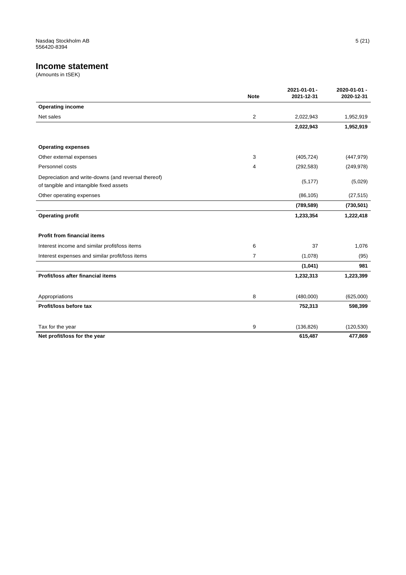### <span id="page-5-0"></span>**Income statement**

|                                                                                                | <b>Note</b>    | 2021-01-01-<br>2021-12-31 | 2020-01-01 -<br>2020-12-31 |
|------------------------------------------------------------------------------------------------|----------------|---------------------------|----------------------------|
| <b>Operating income</b>                                                                        |                |                           |                            |
| Net sales                                                                                      | 2              | 2,022,943                 | 1,952,919                  |
|                                                                                                |                | 2,022,943                 | 1,952,919                  |
| <b>Operating expenses</b>                                                                      |                |                           |                            |
| Other external expenses                                                                        | 3              | (405, 724)                | (447, 979)                 |
| Personnel costs                                                                                | 4              | (292, 583)                | (249, 978)                 |
| Depreciation and write-downs (and reversal thereof)<br>of tangible and intangible fixed assets |                | (5, 177)                  | (5,029)                    |
| Other operating expenses                                                                       |                | (86, 105)                 | (27, 515)                  |
|                                                                                                |                | (789, 589)                | (730, 501)                 |
| <b>Operating profit</b>                                                                        |                | 1,233,354                 | 1,222,418                  |
| <b>Profit from financial items</b>                                                             |                |                           |                            |
| Interest income and similar profit/loss items                                                  | 6              | 37                        | 1,076                      |
| Interest expenses and similar profit/loss items                                                | $\overline{7}$ | (1,078)                   | (95)                       |
|                                                                                                |                | (1,041)                   | 981                        |
| Profit/loss after financial items                                                              |                | 1,232,313                 | 1,223,399                  |
| Appropriations                                                                                 | 8              | (480,000)                 | (625,000)                  |
| Profit/loss before tax                                                                         |                | 752,313                   | 598,399                    |
| Tax for the year                                                                               | 9              | (136, 826)                | (120, 530)                 |
| Net profit/loss for the year                                                                   |                | 615,487                   | 477,869                    |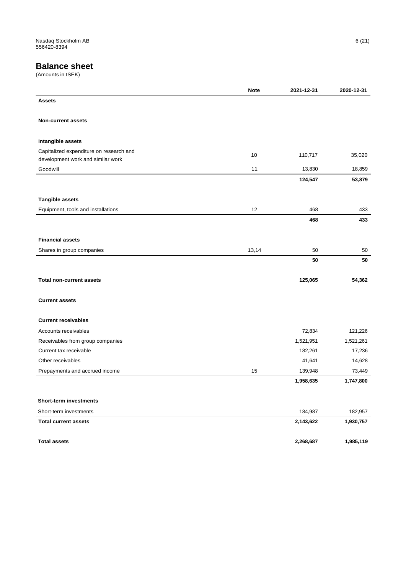### <span id="page-6-0"></span>**Balance sheet**

|                                         | <b>Note</b> | 2021-12-31 | 2020-12-31 |
|-----------------------------------------|-------------|------------|------------|
| <b>Assets</b>                           |             |            |            |
|                                         |             |            |            |
| <b>Non-current assets</b>               |             |            |            |
|                                         |             |            |            |
| Intangible assets                       |             |            |            |
| Capitalized expenditure on research and | 10          | 110,717    | 35,020     |
| development work and similar work       |             |            |            |
| Goodwill                                | 11          | 13,830     | 18,859     |
|                                         |             | 124,547    | 53,879     |
|                                         |             |            |            |
| <b>Tangible assets</b>                  |             |            |            |
| Equipment, tools and installations      | 12          | 468        | 433        |
|                                         |             | 468        | 433        |
|                                         |             |            |            |
| <b>Financial assets</b>                 |             |            |            |
| Shares in group companies               | 13,14       | 50         | 50         |
|                                         |             | 50         | 50         |
|                                         |             |            |            |
| <b>Total non-current assets</b>         |             | 125,065    | 54,362     |
|                                         |             |            |            |
| <b>Current assets</b>                   |             |            |            |
|                                         |             |            |            |
| <b>Current receivables</b>              |             |            |            |
| Accounts receivables                    |             | 72,834     | 121,226    |
| Receivables from group companies        |             | 1,521,951  | 1,521,261  |
| Current tax receivable                  |             | 182,261    | 17,236     |
| Other receivables                       |             | 41,641     | 14,628     |
| Prepayments and accrued income          | 15          | 139,948    | 73,449     |
|                                         |             | 1,958,635  | 1,747,800  |
|                                         |             |            |            |
| <b>Short-term investments</b>           |             |            |            |
| Short-term investments                  |             | 184,987    | 182,957    |
| <b>Total current assets</b>             |             | 2,143,622  | 1,930,757  |
|                                         |             |            |            |
| <b>Total assets</b>                     |             | 2,268,687  | 1,985,119  |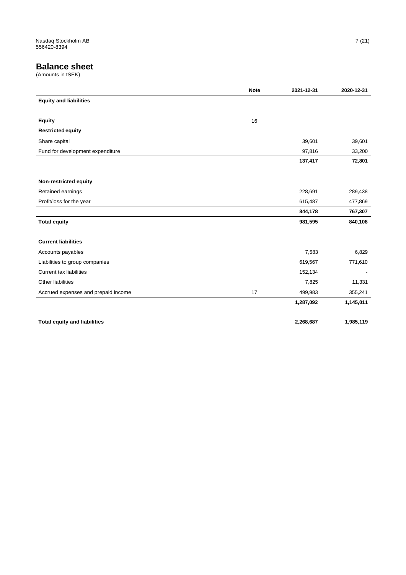### **Balance sheet**

|                                     | <b>Note</b> | 2021-12-31 | 2020-12-31 |
|-------------------------------------|-------------|------------|------------|
| <b>Equity and liabilities</b>       |             |            |            |
|                                     |             |            |            |
| <b>Equity</b>                       | 16          |            |            |
| <b>Restricted equity</b>            |             |            |            |
| Share capital                       |             | 39,601     | 39,601     |
| Fund for development expenditure    |             | 97,816     | 33,200     |
|                                     |             | 137,417    | 72,801     |
|                                     |             |            |            |
| Non-restricted equity               |             |            |            |
| Retained earnings                   |             | 228,691    | 289,438    |
| Profit/loss for the year            |             | 615,487    | 477,869    |
|                                     |             | 844,178    | 767,307    |
| <b>Total equity</b>                 |             | 981,595    | 840,108    |
|                                     |             |            |            |
| <b>Current liabilities</b>          |             |            |            |
| Accounts payables                   |             | 7,583      | 6,829      |
| Liabilities to group companies      |             | 619,567    | 771,610    |
| <b>Current tax liabilities</b>      |             | 152,134    |            |
| Other liabilities                   |             | 7,825      | 11,331     |
| Accrued expenses and prepaid income | 17          | 499,983    | 355,241    |
|                                     |             | 1,287,092  | 1,145,011  |
|                                     |             |            |            |
| <b>Total equity and liabilities</b> |             | 2,268,687  | 1,985,119  |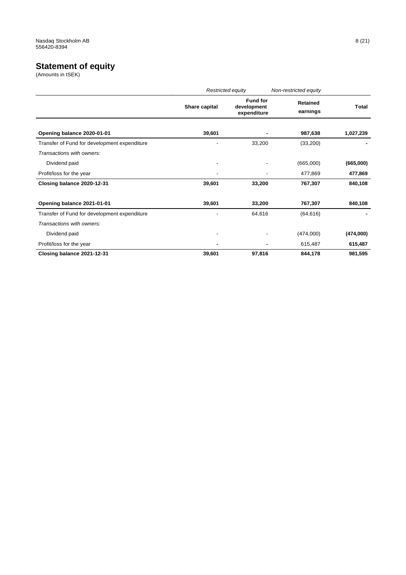### <span id="page-8-0"></span>**Statement of equity**

|                                              |                | Restricted equity                             | Non-restricted equity       |           |
|----------------------------------------------|----------------|-----------------------------------------------|-----------------------------|-----------|
|                                              | Share capital  | <b>Fund for</b><br>development<br>expenditure | <b>Retained</b><br>earnings | Total     |
| Opening balance 2020-01-01                   | 39,601         |                                               | 987,638                     | 1,027,239 |
| Transfer of Fund for development expenditure | -              | 33,200                                        | (33,200)                    |           |
| Transactions with owners:                    |                |                                               |                             |           |
| Dividend paid                                | ٠              |                                               | (665,000)                   | (665,000) |
| Profit/loss for the year                     | ٠              |                                               | 477,869                     | 477,869   |
| Closing balance 2020-12-31                   | 39,601         | 33,200                                        | 767,307                     | 840,108   |
| Opening balance 2021-01-01                   | 39,601         | 33,200                                        | 767,307                     | 840,108   |
| Transfer of Fund for development expenditure |                | 64,616                                        | (64, 616)                   |           |
| Transactions with owners:                    |                |                                               |                             |           |
| Dividend paid                                | -              |                                               | (474,000)                   | (474,000) |
| Profit/loss for the year                     | $\blacksquare$ |                                               | 615,487                     | 615,487   |
| Closing balance 2021-12-31                   | 39,601         | 97,816                                        | 844,178                     | 981,595   |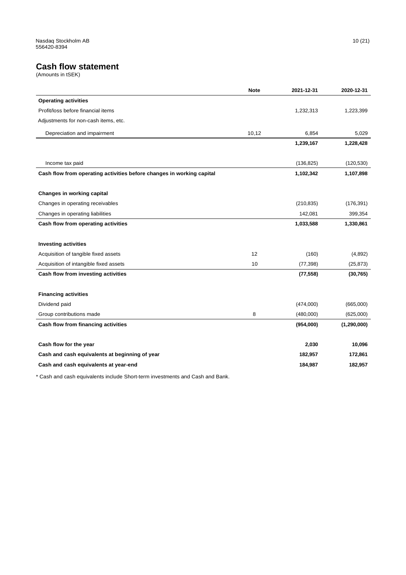### **Cash flow statement**

(Amounts in tSEK)

|                                                                       | <b>Note</b> | 2021-12-31 | 2020-12-31    |
|-----------------------------------------------------------------------|-------------|------------|---------------|
| <b>Operating activities</b>                                           |             |            |               |
| Profit/loss before financial items                                    |             | 1,232,313  | 1,223,399     |
| Adjustments for non-cash items, etc.                                  |             |            |               |
| Depreciation and impairment                                           | 10,12       | 6,854      | 5,029         |
|                                                                       |             | 1,239,167  | 1,228,428     |
|                                                                       |             |            |               |
| Income tax paid                                                       |             | (136, 825) | (120, 530)    |
| Cash flow from operating activities before changes in working capital |             | 1,102,342  | 1,107,898     |
|                                                                       |             |            |               |
| Changes in working capital                                            |             |            |               |
| Changes in operating receivables                                      |             | (210, 835) | (176, 391)    |
| Changes in operating liabilities                                      |             | 142,081    | 399,354       |
| Cash flow from operating activities                                   |             | 1,033,588  | 1,330,861     |
|                                                                       |             |            |               |
| <b>Investing activities</b>                                           |             |            |               |
| Acquisition of tangible fixed assets                                  | 12          | (160)      | (4,892)       |
| Acquisition of intangible fixed assets                                | 10          | (77, 398)  | (25, 873)     |
| Cash flow from investing activities                                   |             | (77, 558)  | (30, 765)     |
|                                                                       |             |            |               |
| <b>Financing activities</b>                                           |             |            |               |
| Dividend paid                                                         |             | (474,000)  | (665,000)     |
| Group contributions made                                              | 8           | (480,000)  | (625,000)     |
| Cash flow from financing activities                                   |             | (954,000)  | (1, 290, 000) |
|                                                                       |             |            |               |
| Cash flow for the year                                                |             | 2,030      | 10,096        |
| Cash and cash equivalents at beginning of year                        |             | 182,957    | 172,861       |
| Cash and cash equivalents at year-end                                 |             | 184,987    | 182,957       |

\* Cash and cash equivalents include Short-term investments and Cash and Bank.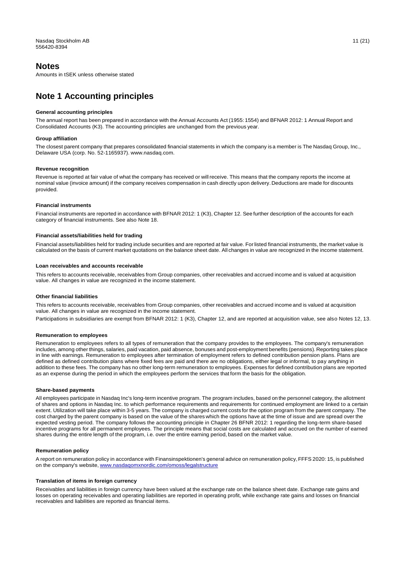### <span id="page-10-0"></span>**Notes**

Amounts in tSEK unless otherwise stated

## **Note 1 Accounting principles**

#### **General accounting principles**

The annual report has been prepared in accordance with the Annual Accounts Act (1955: 1554) and BFNAR 2012: 1 Annual Report and Consolidated Accounts (K3). The accounting principles are unchanged from the previous year.

#### **Group affiliation**

The closest parent company that prepares consolidated financial statements in which the company is a member is The Nasdaq Group, Inc., Delaware USA (corp. No. 52-1165937). [www.nasdaq.com.](http://www.nasdaq.com/)

#### **Revenue recognition**

Revenue is reported at fair value of what the company has received or willreceive. This means that the company reports the income at nominal value (invoice amount) if the company receives compensation in cash directly upon delivery.Deductions are made for discounts provided.

#### **Financial instruments**

Financial instruments are reported in accordance with BFNAR 2012: 1 (K3), Chapter 12. See further description of the accounts for each category of financial instruments. See also Note 18.

#### **Financial assets/liabilities held for trading**

Financial assets/liabilities held for trading include securities and are reported at fair value. Forlisted financial instruments, the market value is calculated on the basis of current market quotations on the balance sheet date. All changes in value are recognized in the income statement.

#### **Loan receivables and accounts receivable**

This refers to accounts receivable, receivables from Group companies, other receivables and accrued income and is valued at acquisition value. All changes in value are recognized in the income statement.

#### **Other financial liabilities**

This refers to accounts receivable, receivables from Group companies, other receivables and accrued income and is valued at acquisition value. All changes in value are recognized in the income statement.

Participations in subsidiaries are exempt from BFNAR 2012: 1 (K3), Chapter 12, and are reported at acquisition value, see also Notes 12, 13.

#### **Remuneration to employees**

Remuneration to employees refers to all types of remuneration that the company provides to the employees. The company's remuneration includes, among other things, salaries, paid vacation, paid absence, bonuses and post-employment benefits (pensions). Reporting takes place in line with earnings. Remuneration to employees after termination of employment refers to defined contribution pension plans. Plans are defined as defined contribution plans where fixed fees are paid and there are no obligations, either legal or informal, to pay anything in addition to these fees. The company has no other long-term remuneration to employees. Expenses for defined contribution plans are reported as an expense during the period in which the employees perform the services that form the basis for the obligation.

#### **Share-based payments**

All employees participate in Nasdaq Inc's long-term incentive program. The program includes, based on the personnel category, the allotment of shares and options in Nasdaq Inc. to which performance requirements and requirements for continued employment are linked to a certain extent. Utilization will take place within 3-5 years. The company is charged current costs for the option program from the parent company. The cost charged by the parent company is based on the value of the shares which the options have at the time of issue and are spread over the expected vesting period. The company follows the accounting principle in Chapter 26 BFNR 2012: 1 regarding the long-term share-based incentive programs for all permanent employees. The principle means that social costs are calculated and accrued on the number of earned shares during the entire length of the program, i.e. over the entire earning period, based on the market value.

#### **Remuneration policy**

A report on remuneration policy in accordance with Finansinspektionen's general advice on remuneration policy,FFFS 2020: 15, is published on the company's website, [www.nasdaqomxnordic.com/omoss/legalstructure](http://www.nasdaqomxnordic.com/omoss/legalstructure)

#### **Translation of items in foreign currency**

Receivables and liabilities in foreign currency have been valued at the exchange rate on the balance sheet date. Exchange rate gains and losses on operating receivables and operating liabilities are reported in operating profit, while exchange rate gains and losses on financial receivables and liabilities are reported as financial items.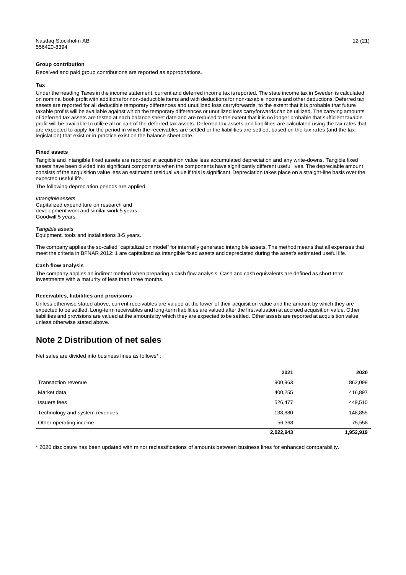#### **Group contribution**

Received and paid group contributions are reported as appropriations.

#### **Tax**

Under the heading Taxes in the income statement, current and deferred income tax is reported. The state income tax in Sweden is calculated on nominal book profit with additions for non-deductible items and with deductions for non-taxable income and other deductions. Deferred tax assets are reported for all deductible temporary differences and unutilized loss carryforwards, to the extent that it is probable that future taxable profits will be available against which the temporary differences or unutilized loss carryforwards can be utilized. The carrying amounts of deferred tax assets are tested at each balance sheet date and are reduced to the extent that it is no longer probable that sufficient taxable profit will be available to utilize all or part of the deferred tax assets. Deferred tax assets and liabilities are calculated using the tax rates that are expected to apply for the period in which the receivables are settled or the liabilities are settled, based on the tax rates (and the tax legislation) that exist or in practice exist on the balance sheet date.

#### **Fixed assets**

Tangible and intangible fixed assets are reported at acquisition value less accumulated depreciation and any write-downs. Tangible fixed assets have been divided into significant components when the components have significantly different useful lives. The depreciable amount consists of the acquisition value less an estimated residual value if this is significant.Depreciation takes place on a straight-line basis over the expected useful life.

The following depreciation periods are applied:

*Intangibleassets* Capitalized expenditure on research and development work and similar work 5 years. Goodwill 5 years.

*Tangible assets* Equipment, tools and installations 3-5 years.

The company applies the so-called "capitalization model" for internally generated intangible assets. The method means that all expenses that meet the criteria in BFNAR 2012: 1 are capitalized as intangible fixed assets and depreciated during the asset's estimated useful life.

#### **Cash flow analysis**

The company applies an indirect method when preparing a cash flow analysis. Cash and cash equivalents are defined as short-term investments with a maturity of less than three months.

#### **Receivables, liabilities and provisions**

Unless otherwise stated above, current receivables are valued at the lower of their acquisition value and the amount by which they are expected to be settled. Long-term receivables and long-term liabilities are valued after the first valuation at accrued acquisition value. Other liabilities and provisions are valued at the amounts by which they are expected to be settled. Other assets are reported at acquisition value unless otherwise stated above.

### **Note 2 Distribution of net sales**

Net sales are divided into business lines as follows\* :

|                                | 2021      | 2020      |
|--------------------------------|-----------|-----------|
| Transaction revenue            | 900,963   | 862,099   |
| Market data                    | 400,255   | 416,897   |
| Issuers fees                   | 526,477   | 449,510   |
| Technology and system revenues | 138,880   | 148,855   |
| Other operating income         | 56,368    | 75,558    |
|                                | 2,022,943 | 1,952,919 |

\* 2020 disclosure has been updated with minor reclassifications of amounts between business lines for enhanced comparability.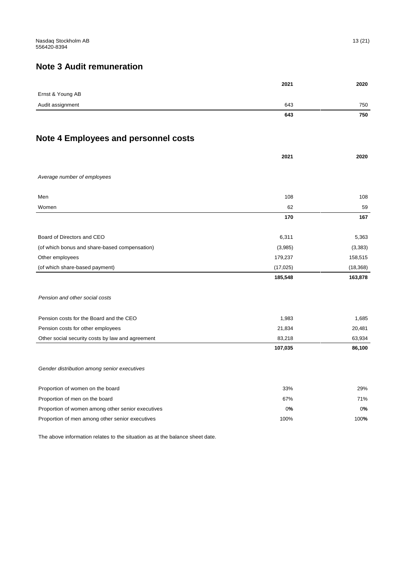# **Note 3 Audit remuneration**

|                                                   | 2021      | 2020      |
|---------------------------------------------------|-----------|-----------|
| Ernst & Young AB                                  |           |           |
| Audit assignment                                  | 643       | 750       |
|                                                   | 643       | 750       |
|                                                   |           |           |
| <b>Note 4 Employees and personnel costs</b>       |           |           |
|                                                   | 2021      | 2020      |
| Average number of employees                       |           |           |
| Men                                               | 108       | 108       |
| Women                                             | 62        | 59        |
|                                                   | 170       | 167       |
| Board of Directors and CEO                        | 6,311     | 5,363     |
| (of which bonus and share-based compensation)     | (3,985)   | (3,383)   |
| Other employees                                   | 179,237   | 158,515   |
| (of which share-based payment)                    | (17, 025) | (18, 368) |
|                                                   | 185,548   | 163,878   |
| Pension and other social costs                    |           |           |
| Pension costs for the Board and the CEO           | 1,983     | 1,685     |
| Pension costs for other employees                 | 21,834    | 20,481    |
| Other social security costs by law and agreement  | 83,218    | 63,934    |
|                                                   | 107,035   | 86,100    |
| Gender distribution among senior executives       |           |           |
| Proportion of women on the board                  | 33%       | 29%       |
| Proportion of men on the board                    | 67%       | 71%       |
| Proportion of women among other senior executives | 0%        | 0%        |
| Proportion of men among other senior executives   | 100%      | 100%      |

The above information relates to the situation as at the balance sheet date.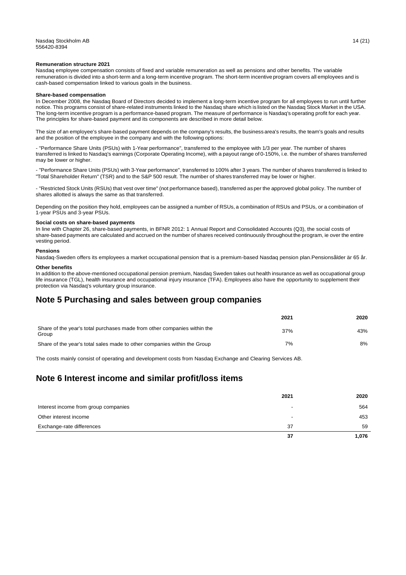#### **Remuneration structure 2021**

Nasdaq employee compensation consists of fixed and variable remuneration as well as pensions and other benefits. The variable remuneration is divided into a short-term and a long-term incentive program. The short-term incentive program covers all employees and is cash-based compensation linked to various goals in the business.

#### **Share-based compensation**

In December 2008, the Nasdaq Board of Directors decided to implement a long-term incentive program for all employees to run until further notice. This programs consist of share-related instruments linked to the Nasdaq share which is listed on the Nasdaq Stock Market in the USA. The long-term incentive program is a performance-based program. The measure of performance is Nasdaq's operating profit for each year. The principles for share-based payment and its components are described in more detail below.

The size of an employee's share-based payment depends on the company's results, the business area's results, the team's goals and results and the position of the employee in the company and with the following options:

- "Performance Share Units (PSUs) with 1-Year performance", transferred to the employee with 1/3 per year. The number of shares transferred is linked to Nasdaq's earnings (Corporate Operating Income), with a payout range of 0-150%, i.e. the number of shares transferred may be lower or higher.

- "Performance Share Units (PSUs) with 3-Year performance", transferred to 100% after 3 years.The number of shares transferred is linked to "Total Shareholder Return" (TSR) and to the S&P 500 result. The number of shares transferred may be lower or higher.

- "Restricted Stock Units (RSUs) that vest over time" (not performance based), transferred as per the approved global policy. The number of shares allotted is always the same as that transferred.

Depending on the position they hold, employees can be assigned a number of RSUs, a combination of RSUs and PSUs, or a combination of 1-year PSUs and 3-year PSUs.

#### **Social costs on share-based payments**

In line with Chapter 26, share-based payments, in BFNR 2012: 1 Annual Report and Consolidated Accounts (Q3), the social costs of share-based payments are calculated and accrued on the number of shares received continuously throughout the program, ie over the entire vesting period.

#### **Pensions**

Nasdaq-Sweden offers its employees a market occupational pension that is a premium-based Nasdaq pension plan.Pensionsålder är 65 år.

#### **Other benefits**

In addition to the above-mentioned occupational pension premium, Nasdaq Sweden takes out health insurance as well as occupational group life insurance (TGL), health insurance and occupational injury insurance (TFA). Employees also have the opportunity to supplement their protection via Nasdaq's voluntary group insurance.

### **Note 5 Purchasing and sales between group companies**

|                                                                                   | 2021 | 2020 |
|-----------------------------------------------------------------------------------|------|------|
| Share of the year's total purchases made from other companies within the<br>Group | 37%  | 43%  |
| Share of the year's total sales made to other companies within the Group          | 7%   | 8%   |

The costs mainly consist of operating and development costs from Nasdaq Exchange and Clearing Services AB.

### **Note 6 Interest income and similar profit/loss items**

|                                      | 2021 | 2020  |
|--------------------------------------|------|-------|
| Interest income from group companies | -    | 564   |
| Other interest income                | -    | 453   |
| Exchange-rate differences            | 37   | 59    |
|                                      | 37   | 1,076 |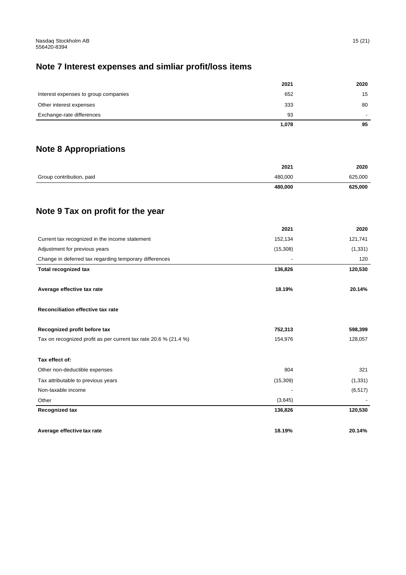# **Note 7 Interest expenses and simliar profit/loss items**

|                                      | 2021  | 2020 |
|--------------------------------------|-------|------|
| Interest expenses to group companies | 652   | 15   |
| Other interest expenses              | 333   | 80   |
| Exchange-rate differences            | 93    | -    |
|                                      | 1,078 | 95   |

# **Note 8 Appropriations**

|                          | 480,000 | 625,000 |
|--------------------------|---------|---------|
| Group contribution, paid | 480.000 | 625,000 |
|                          | 2021    | 2020    |

# **Note 9 Tax on profit for the year**

|                                                                  | 2021     | 2020     |
|------------------------------------------------------------------|----------|----------|
| Current tax recognized in the income statement                   | 152,134  | 121,741  |
| Adjustment for previous years                                    | (15,308) | (1, 331) |
| Change in deferred tax regarding temporary differences           |          | 120      |
| <b>Total recognized tax</b>                                      | 136,826  | 120,530  |
| Average effective tax rate                                       | 18.19%   | 20.14%   |
| Reconciliation effective tax rate                                |          |          |
| Recognized profit before tax                                     | 752,313  | 598,399  |
| Tax on recognized profit as per current tax rate 20.6 % (21.4 %) | 154,976  | 128,057  |
| Tax effect of:                                                   |          |          |
| Other non-deductible expenses                                    | 804      | 321      |
| Tax attributable to previous years                               | (15,309) | (1, 331) |
| Non-taxable income                                               |          | (6, 517) |
| Other                                                            | (3,645)  |          |
| <b>Recognized tax</b>                                            | 136,826  | 120,530  |
| Average effective tax rate                                       | 18.19%   | 20.14%   |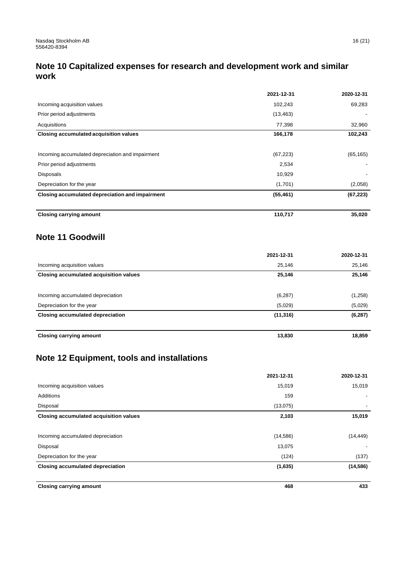# **Note 10 Capitalized expenses for research and development work and similar work**

|                                                  | 2021-12-31 | 2020-12-31 |
|--------------------------------------------------|------------|------------|
| Incoming acquisition values                      | 102,243    | 69,283     |
| Prior period adjustments                         | (13, 463)  |            |
| Acquisitions                                     | 77,398     | 32,960     |
| Closing accumulated acquisition values           | 166,178    | 102,243    |
| Incoming accumulated depreciation and impairment | (67, 223)  | (65, 165)  |
| Prior period adjustments                         | 2,534      |            |
| Disposals                                        | 10,929     |            |
| Depreciation for the year                        | (1,701)    | (2,058)    |
| Closing accumulated depreciation and impairment  | (55, 461)  | (67, 223)  |
| <b>Closing carrying amount</b>                   | 110,717    | 35,020     |

### **Note 11 Goodwill**

|                                         | 2021-12-31 | 2020-12-31 |
|-----------------------------------------|------------|------------|
| Incoming acquisition values             | 25,146     | 25,146     |
| Closing accumulated acquisition values  | 25,146     | 25,146     |
|                                         |            |            |
| Incoming accumulated depreciation       | (6, 287)   | (1,258)    |
| Depreciation for the year               | (5,029)    | (5,029)    |
| <b>Closing accumulated depreciation</b> | (11, 316)  | (6, 287)   |
|                                         |            |            |
| <b>Closing carrying amount</b>          | 13,830     | 18,859     |

# **Note 12 Equipment, tools and installations**

|                                         | 2021-12-31 | 2020-12-31 |
|-----------------------------------------|------------|------------|
| Incoming acquisition values             | 15,019     | 15,019     |
| Additions                               | 159        |            |
| Disposal                                | (13,075)   | ٠          |
| Closing accumulated acquisition values  | 2,103      | 15,019     |
| Incoming accumulated depreciation       | (14,586)   | (14, 449)  |
| Disposal                                | 13,075     |            |
| Depreciation for the year               | (124)      | (137)      |
| <b>Closing accumulated depreciation</b> | (1,635)    | (14, 586)  |
| <b>Closing carrying amount</b>          | 468        | 433        |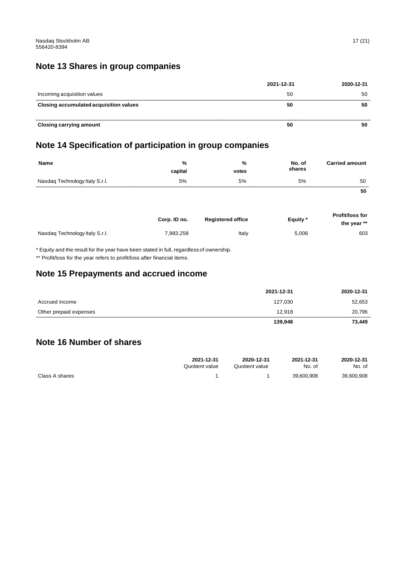### **Note 13 Shares in group companies**

|                                        | 2021-12-31 | 2020-12-31 |
|----------------------------------------|------------|------------|
| Incoming acquisition values            | 50         | 50         |
| Closing accumulated acquisition values | 50         | 50         |
| <b>Closing carrying amount</b>         | 50         | 50         |

### **Note 14 Specification of participation in group companies**

| <b>Name</b>                    | %<br>capital | %<br>votes               | No. of<br>shares | <b>Carried amount</b>          |
|--------------------------------|--------------|--------------------------|------------------|--------------------------------|
| Nasdaq Technology Italy S.r.l. | 5%           | 5%                       | 5%               | 50                             |
|                                |              |                          |                  | 50                             |
|                                | Corp. ID no. | <b>Registered office</b> | Equity*          | Profit/loss for<br>the year ** |
| Nasdag Technology Italy S.r.I. | 7,983,258    | Italy                    | 5,006            | 603                            |

\* Equity and the result for the year have been stated in full, regardless of ownership.

\*\* Profit/loss for the year refers to profit/loss after financial items.

### **Note 15 Prepayments and accrued income**

|                        | 2021-12-31 | 2020-12-31 |
|------------------------|------------|------------|
| Accrued income         | 127,030    | 52,653     |
| Other prepaid expenses | 12.918     | 20,796     |
|                        | 139,948    | 73,449     |

### **Note 16 Number of shares**

|                | 2021-12-31     | 2020-12-31     | 2021-12-31 | 2020-12-31 |
|----------------|----------------|----------------|------------|------------|
|                | Quotient value | Quotient value | No. of     | No. of     |
| Class A shares |                |                | 39.600.908 | 39,600,908 |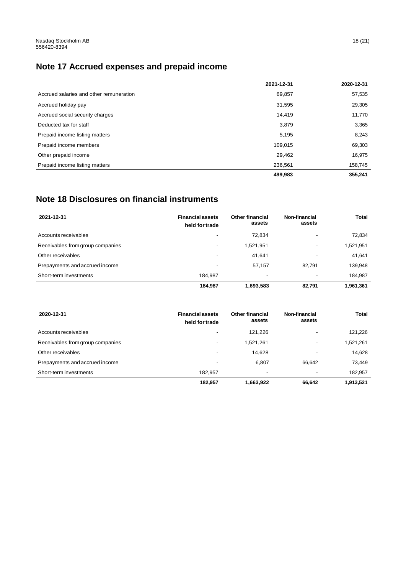# **Note 17 Accrued expenses and prepaid income**

|                                         | 2021-12-31 | 2020-12-31 |
|-----------------------------------------|------------|------------|
| Accrued salaries and other remuneration | 69,857     | 57,535     |
| Accrued holiday pay                     | 31,595     | 29,305     |
| Accrued social security charges         | 14.419     | 11,770     |
| Deducted tax for staff                  | 3,879      | 3,365      |
| Prepaid income listing matters          | 5,195      | 8,243      |
| Prepaid income members                  | 109.015    | 69,303     |
| Other prepaid income                    | 29,462     | 16,975     |
| Prepaid income listing matters          | 236,561    | 158,745    |
|                                         | 499,983    | 355,241    |

# **Note 18 Disclosures on financial instruments**

| 2021-12-31                       | <b>Financial assets</b><br>held for trade | <b>Other financial</b><br>assets | Non-financial<br>assets  | <b>Total</b> |
|----------------------------------|-------------------------------------------|----------------------------------|--------------------------|--------------|
| Accounts receivables             | -                                         | 72.834                           |                          | 72,834       |
| Receivables from group companies | ٠                                         | 1,521,951                        |                          | 1,521,951    |
| Other receivables                | -                                         | 41.641                           |                          | 41,641       |
| Prepayments and accrued income   | $\overline{\phantom{a}}$                  | 57.157                           | 82.791                   | 139,948      |
| Short-term investments           | 184.987                                   | -                                | $\overline{\phantom{a}}$ | 184,987      |
|                                  | 184.987                                   | 1,693,583                        | 82,791                   | 1,961,361    |

| 2020-12-31                       | <b>Financial assets</b><br>held for trade | <b>Other financial</b><br>assets | Non-financial<br>assets | Total     |
|----------------------------------|-------------------------------------------|----------------------------------|-------------------------|-----------|
| Accounts receivables             | ٠                                         | 121.226                          |                         | 121,226   |
| Receivables from group companies | ٠                                         | 1.521.261                        | ۰.                      | 1,521,261 |
| Other receivables                | $\overline{\phantom{a}}$                  | 14,628                           | -                       | 14,628    |
| Prepayments and accrued income   | ٠                                         | 6.807                            | 66.642                  | 73.449    |
| Short-term investments           | 182.957                                   | ٠                                | ٠                       | 182,957   |
|                                  | 182.957                                   | 1,663,922                        | 66.642                  | 1.913.521 |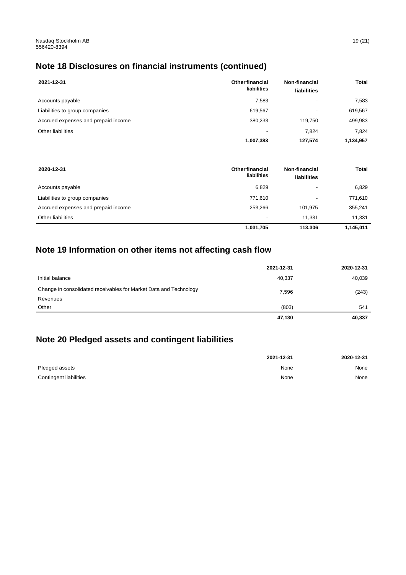# **Note 18 Disclosures on financial instruments (continued)**

| 2021-12-31                          | <b>Other financial</b><br>liabilities | Non-financial<br>liabilities | Total     |
|-------------------------------------|---------------------------------------|------------------------------|-----------|
| Accounts payable                    | 7,583                                 |                              | 7,583     |
| Liabilities to group companies      | 619,567                               |                              | 619,567   |
| Accrued expenses and prepaid income | 380,233                               | 119.750                      | 499,983   |
| Other liabilities                   | $\overline{\phantom{a}}$              | 7.824                        | 7.824     |
|                                     | 1,007,383                             | 127,574                      | 1,134,957 |

| 2020-12-31                          | <b>Other financial</b><br>liabilities | Non-financial<br>liabilities | Total     |
|-------------------------------------|---------------------------------------|------------------------------|-----------|
| Accounts payable                    | 6,829                                 |                              | 6,829     |
| Liabilities to group companies      | 771,610                               | $\overline{\phantom{a}}$     | 771,610   |
| Accrued expenses and prepaid income | 253,266                               | 101.975                      | 355,241   |
| Other liabilities                   | $\overline{\phantom{a}}$              | 11.331                       | 11.331    |
|                                     | 1,031,705                             | 113,306                      | 1,145,011 |

# **Note 19 Information on other items not affecting cash flow**

|                                                                   | 2021-12-31 | 2020-12-31 |
|-------------------------------------------------------------------|------------|------------|
| Initial balance                                                   | 40,337     | 40,039     |
| Change in consolidated receivables for Market Data and Technology | 7,596      | (243)      |
| Revenues                                                          |            |            |
| Other                                                             | (803)      | 541        |
|                                                                   | 47,130     | 40,337     |

### **Note 20 Pledged assets and contingent liabilities**

|                        | 2021-12-31 | 2020-12-31 |
|------------------------|------------|------------|
| Pledged assets         | None       | None       |
| Contingent liabilities | None       | None       |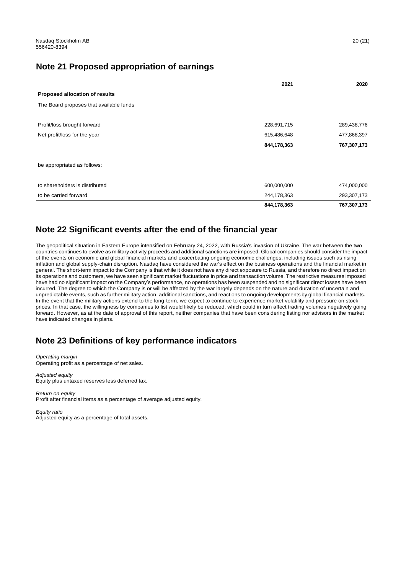### **Note 21 Proposed appropriation of earnings**

|                                         | 2021        | 2020        |
|-----------------------------------------|-------------|-------------|
| Proposed allocation of results          |             |             |
| The Board proposes that available funds |             |             |
|                                         |             |             |
| Profit/loss brought forward             | 228,691,715 | 289,438,776 |
| Net profit/loss for the year            | 615,486,648 | 477,868,397 |
|                                         | 844,178,363 | 767,307,173 |
| be appropriated as follows:             |             |             |
| to shareholders is distributed          | 600,000,000 | 474,000,000 |
| to be carried forward                   | 244,178,363 | 293,307,173 |
|                                         | 844,178,363 | 767,307,173 |

### **Note 22 Significant events after the end of the financial year**

The geopolitical situation in Eastern Europe intensified on February 24, 2022, with Russia's invasion of Ukraine. The war between the two countries continues to evolve as military activity proceeds and additional sanctions are imposed. Global companies should consider the impact of the events on economic and global financial markets and exacerbating ongoing economic challenges, including issues such as rising inflation and global supply-chain disruption. Nasdaq have considered the war's effect on the business operations and the financial market in general. The short-term impact to the Company is that while it does not have any direct exposure to Russia, and therefore no direct impact on its operations and customers, we have seen significant market fluctuations in price and transaction volume. The restrictive measures imposed have had no significant impact on the Company's performance, no operations has been suspended and no significant direct losses have been incurred. The degree to which the Company is or will be affected by the war largely depends on the nature and duration of uncertain and unpredictable events, such as further military action, additional sanctions, and reactions to ongoing developments by global financial markets. In the event that the military actions extend to the long-term, we expect to continue to experience market volatility and pressure on stock prices. In that case, the willingness by companies to list would likely be reduced, which could in turn affect trading volumes negatively going forward. However, as at the date of approval of this report, neither companies that have been considering listing nor advisors in the market have indicated changes in plans.

### **Note 23 Definitions of key performance indicators**

*Operating margin* Operating profit as a percentage of net sales.

*Adjusted equity* Equity plus untaxed reserves less deferred tax.

*Return on equity* Profit after financial items as a percentage of average adjusted equity.

*Equity ratio* Adjusted equity as a percentage of total assets.